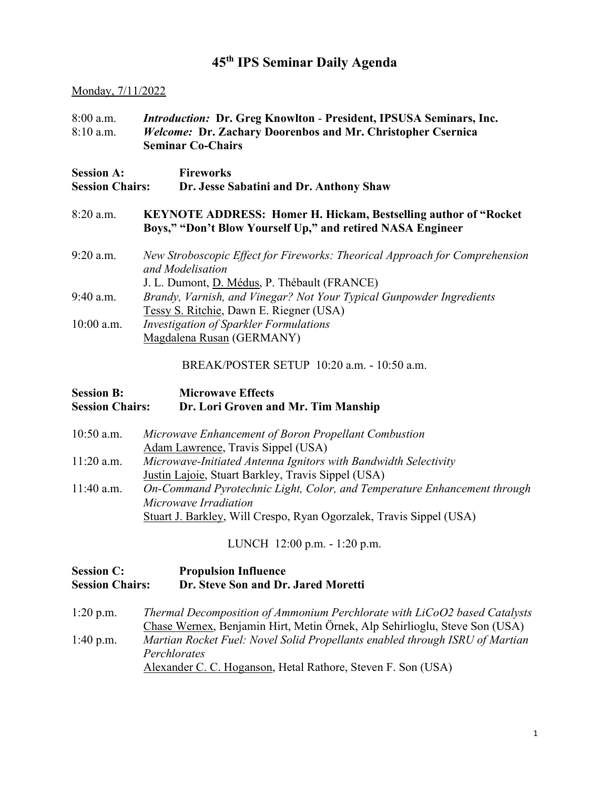## 45th IPS Seminar Daily Agenda

#### Monday, 7/11/2022

| $8:00$ a.m.<br>$8:10$ a.m.                  | <i>Introduction:</i> Dr. Greg Knowlton - President, IPSUSA Seminars, Inc.<br>Welcome: Dr. Zachary Doorenbos and Mr. Christopher Csernica<br><b>Seminar Co-Chairs</b> |  |
|---------------------------------------------|----------------------------------------------------------------------------------------------------------------------------------------------------------------------|--|
| <b>Session A:</b><br><b>Session Chairs:</b> | <b>Fireworks</b><br>Dr. Jesse Sabatini and Dr. Anthony Shaw                                                                                                          |  |
| $8:20$ a.m.                                 | <b>KEYNOTE ADDRESS: Homer H. Hickam, Bestselling author of "Rocket"</b><br>Boys," "Don't Blow Yourself Up," and retired NASA Engineer                                |  |
| $9:20$ a.m.                                 | New Stroboscopic Effect for Fireworks: Theorical Approach for Comprehension<br>and Modelisation<br>J. L. Dumont, D. Médus, P. Thébault (FRANCE)                      |  |
| $9:40$ a.m.                                 | Brandy, Varnish, and Vinegar? Not Your Typical Gunpowder Ingredients<br>Tessy S. Ritchie, Dawn E. Riegner (USA)                                                      |  |
| $10:00$ a.m.                                | Investigation of Sparkler Formulations<br>Magdalena Rusan (GERMANY)                                                                                                  |  |

BREAK/POSTER SETUP 10:20 a.m. - 10:50 a.m.

| <b>Session B:</b>      | <b>Microwave Effects</b>            |
|------------------------|-------------------------------------|
| <b>Session Chairs:</b> | Dr. Lori Groven and Mr. Tim Manship |
|                        |                                     |

10:50 a.m. Microwave Enhancement of Boron Propellant Combustion Adam Lawrence, Travis Sippel (USA) 11:20 a.m. Microwave-Initiated Antenna Ignitors with Bandwidth Selectivity Justin Lajoie, Stuart Barkley, Travis Sippel (USA) 11:40 a.m. On-Command Pyrotechnic Light, Color, and Temperature Enhancement through Microwave Irradiation Stuart J. Barkley, Will Crespo, Ryan Ogorzalek, Travis Sippel (USA)

LUNCH 12:00 p.m. - 1:20 p.m.

#### Session C: Propulsion Influence Session Chairs: Dr. Steve Son and Dr. Jared Moretti

1:20 p.m. Thermal Decomposition of Ammonium Perchlorate with LiCoO2 based Catalysts Chase Wernex, Benjamin Hirt, Metin Örnek, Alp Sehirlioglu, Steve Son (USA) 1:40 p.m. Martian Rocket Fuel: Novel Solid Propellants enabled through ISRU of Martian **Perchlorates** Alexander C. C. Hoganson, Hetal Rathore, Steven F. Son (USA)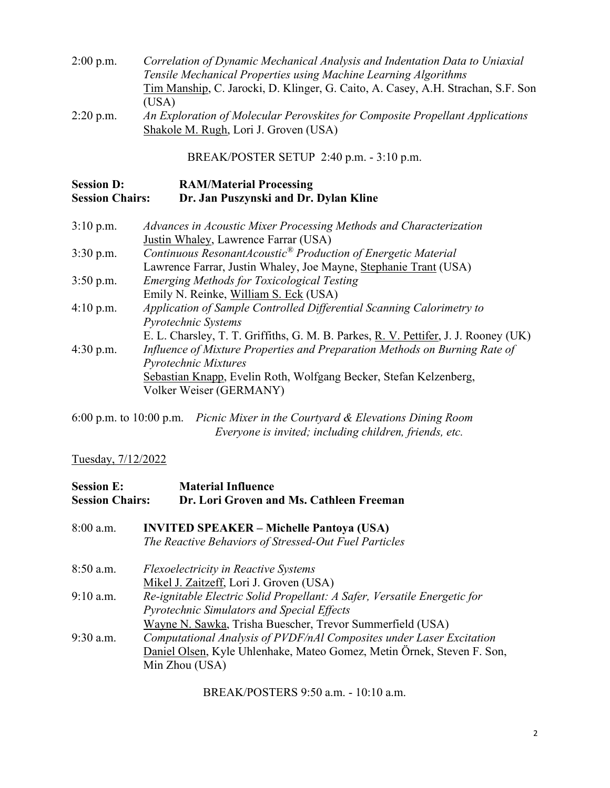| $2:00$ p.m. | Correlation of Dynamic Mechanical Analysis and Indentation Data to Uniaxial      |
|-------------|----------------------------------------------------------------------------------|
|             | Tensile Mechanical Properties using Machine Learning Algorithms                  |
|             | Tim Manship, C. Jarocki, D. Klinger, G. Caito, A. Casey, A.H. Strachan, S.F. Son |
|             | (USA)                                                                            |
| $2:20$ p.m. | An Exploration of Molecular Perovskites for Composite Propellant Applications    |
|             | Shakole M. Rugh, Lori J. Groven (USA)                                            |

BREAK/POSTER SETUP 2:40 p.m. - 3:10 p.m.

| <b>Session D:</b>      | <b>RAM/Material Processing</b>        |
|------------------------|---------------------------------------|
| <b>Session Chairs:</b> | Dr. Jan Puszynski and Dr. Dylan Kline |

| $3:10$ p.m. | Advances in Acoustic Mixer Processing Methods and Characterization                  |
|-------------|-------------------------------------------------------------------------------------|
|             | Justin Whaley, Lawrence Farrar (USA)                                                |
| $3:30$ p.m. | Continuous ResonantAcoustic <sup>®</sup> Production of Energetic Material           |
|             | Lawrence Farrar, Justin Whaley, Joe Mayne, Stephanie Trant (USA)                    |
| $3:50$ p.m. | <b>Emerging Methods for Toxicological Testing</b>                                   |
|             | Emily N. Reinke, William S. Eck (USA)                                               |
| $4:10$ p.m. | Application of Sample Controlled Differential Scanning Calorimetry to               |
|             | Pyrotechnic Systems                                                                 |
|             | E. L. Charsley, T. T. Griffiths, G. M. B. Parkes, R. V. Pettifer, J. J. Rooney (UK) |
| $4:30$ p.m. | Influence of Mixture Properties and Preparation Methods on Burning Rate of          |
|             | <b>Pyrotechnic Mixtures</b>                                                         |
|             | Sebastian Knapp, Evelin Roth, Wolfgang Becker, Stefan Kelzenberg,                   |
|             | Volker Weiser (GERMANY)                                                             |
|             |                                                                                     |

6:00 p.m. to 10:00 p.m. Picnic Mixer in the Courtyard & Elevations Dining Room Everyone is invited; including children, friends, etc.

## Tuesday, 7/12/2022

| <b>Session E:</b><br><b>Session Chairs:</b> | <b>Material Influence</b><br>Dr. Lori Groven and Ms. Cathleen Freeman    |
|---------------------------------------------|--------------------------------------------------------------------------|
| 8:00 a.m.                                   | <b>INVITED SPEAKER – Michelle Pantoya (USA)</b>                          |
|                                             | The Reactive Behaviors of Stressed-Out Fuel Particles                    |
| $8:50$ a.m.                                 | <b>Flexoelectricity in Reactive Systems</b>                              |
|                                             | Mikel J. Zaitzeff, Lori J. Groven (USA)                                  |
| $9:10$ a.m.                                 | Re-ignitable Electric Solid Propellant: A Safer, Versatile Energetic for |
|                                             | <b>Pyrotechnic Simulators and Special Effects</b>                        |
|                                             | Wayne N. Sawka, Trisha Buescher, Trevor Summerfield (USA)                |
| 9:30 a.m.                                   | Computational Analysis of PVDF/nAl Composites under Laser Excitation     |
|                                             | Daniel Olsen, Kyle Uhlenhake, Mateo Gomez, Metin Örnek, Steven F. Son,   |
|                                             | Min Zhou (USA)                                                           |

BREAK/POSTERS 9:50 a.m. - 10:10 a.m.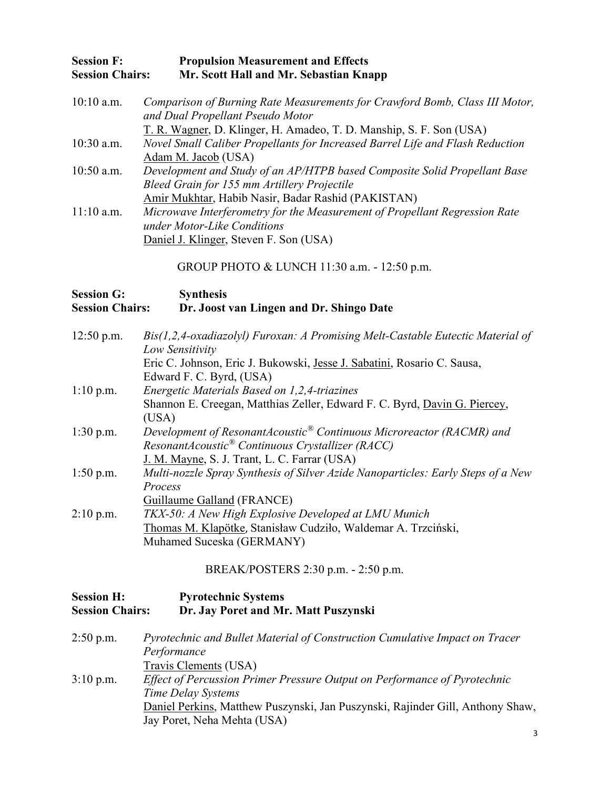#### Session F: Propulsion Measurement and Effects Session Chairs: Mr. Scott Hall and Mr. Sebastian Knapp

10:10 a.m. Comparison of Burning Rate Measurements for Crawford Bomb, Class III Motor, and Dual Propellant Pseudo Motor T. R. Wagner, D. Klinger, H. Amadeo, T. D. Manship, S. F. Son (USA) 10:30 a.m. Novel Small Caliber Propellants for Increased Barrel Life and Flash Reduction Adam M. Jacob (USA) 10:50 a.m. Development and Study of an AP/HTPB based Composite Solid Propellant Base Bleed Grain for 155 mm Artillery Projectile Amir Mukhtar, Habib Nasir, Badar Rashid (PAKISTAN) 11:10 a.m. Microwave Interferometry for the Measurement of Propellant Regression Rate under Motor-Like Conditions Daniel J. Klinger, Steven F. Son (USA)

GROUP PHOTO & LUNCH 11:30 a.m. - 12:50 p.m.

#### Session G: Synthesis Session Chairs: Dr. Joost van Lingen and Dr. Shingo Date

| $12:50$ p.m. | Bis(1,2,4-oxadiazolyl) Furoxan: A Promising Melt-Castable Eutectic Material of   |
|--------------|----------------------------------------------------------------------------------|
|              | Low Sensitivity                                                                  |
|              | Eric C. Johnson, Eric J. Bukowski, Jesse J. Sabatini, Rosario C. Sausa,          |
|              | Edward F. C. Byrd, (USA)                                                         |
| $1:10$ p.m.  | Energetic Materials Based on 1,2,4-triazines                                     |
|              | Shannon E. Creegan, Matthias Zeller, Edward F. C. Byrd, Davin G. Piercey,        |
|              | (USA)                                                                            |
| $1:30$ p.m.  | Development of ResonantAcoustic® Continuous Microreactor (RACMR) and             |
|              | ResonantAcoustic® Continuous Crystallizer (RACC)                                 |
|              | J. M. Mayne, S. J. Trant, L. C. Farrar (USA)                                     |
| $1:50$ p.m.  | Multi-nozzle Spray Synthesis of Silver Azide Nanoparticles: Early Steps of a New |
|              | Process                                                                          |
|              | Guillaume Galland (FRANCE)                                                       |
| $2:10$ p.m.  | TKX-50: A New High Explosive Developed at LMU Munich                             |
|              | Thomas M. Klapötke, Stanisław Cudziło, Waldemar A. Trzciński,                    |
|              | Muhamed Suceska (GERMANY)                                                        |
|              |                                                                                  |

BREAK/POSTERS 2:30 p.m. - 2:50 p.m.

| <b>Session H:</b>      | <b>Pyrotechnic Systems</b>                                                                                    |
|------------------------|---------------------------------------------------------------------------------------------------------------|
| <b>Session Chairs:</b> | Dr. Jay Poret and Mr. Matt Puszynski                                                                          |
| $2:50$ p.m.            | Pyrotechnic and Bullet Material of Construction Cumulative Impact on Tracer                                   |
|                        | Performance<br>Travis Clements (USA)                                                                          |
| $3:10$ p.m.            | Effect of Percussion Primer Pressure Output on Performance of Pyrotechnic<br>Time Delay Systems               |
|                        | Daniel Perkins, Matthew Puszynski, Jan Puszynski, Rajinder Gill, Anthony Shaw,<br>Jay Poret, Neha Mehta (USA) |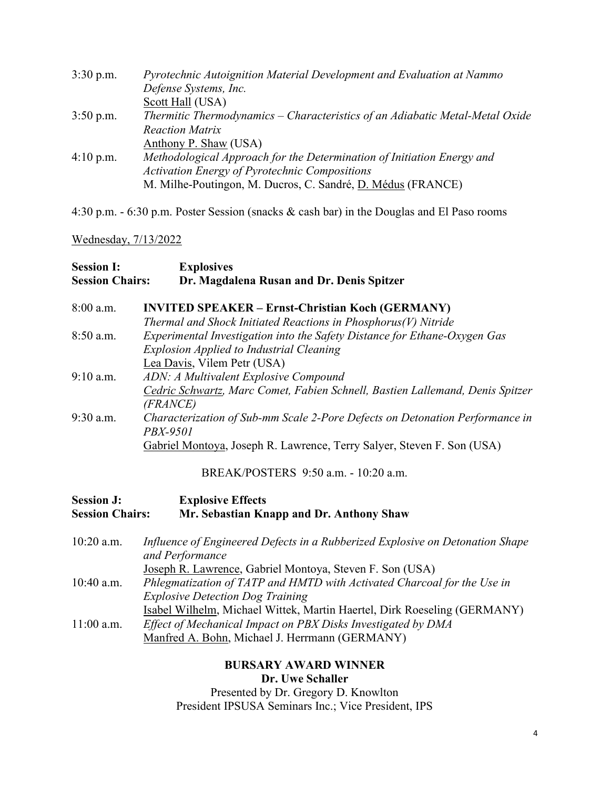| $3:30$ p.m.         | Pyrotechnic Autoignition Material Development and Evaluation at Nammo        |
|---------------------|------------------------------------------------------------------------------|
|                     | Defense Systems, Inc.                                                        |
|                     | Scott Hall (USA)                                                             |
| $3:50$ p.m.         | Thermitic Thermodynamics - Characteristics of an Adiabatic Metal-Metal Oxide |
|                     | <b>Reaction Matrix</b>                                                       |
|                     | Anthony P. Shaw (USA)                                                        |
| $4:10 \text{ p.m.}$ | Methodological Approach for the Determination of Initiation Energy and       |
|                     | <b>Activation Energy of Pyrotechnic Compositions</b>                         |
|                     | M. Milhe-Poutingon, M. Ducros, C. Sandré, D. Médus (FRANCE)                  |

4:30 p.m. - 6:30 p.m. Poster Session (snacks & cash bar) in the Douglas and El Paso rooms

### Wednesday, 7/13/2022

| <b>Session I:</b><br><b>Session Chairs:</b> | <b>Explosives</b><br>Dr. Magdalena Rusan and Dr. Denis Spitzer                |
|---------------------------------------------|-------------------------------------------------------------------------------|
| $8:00$ a.m.                                 | <b>INVITED SPEAKER – Ernst-Christian Koch (GERMANY)</b>                       |
|                                             | Thermal and Shock Initiated Reactions in Phosphorus(V) Nitride                |
| $8:50$ a.m.                                 | Experimental Investigation into the Safety Distance for Ethane-Oxygen Gas     |
|                                             | <b>Explosion Applied to Industrial Cleaning</b>                               |
|                                             | Lea Davis, Vilem Petr (USA)                                                   |
| $9:10$ a.m.                                 | ADN: A Multivalent Explosive Compound                                         |
|                                             | Cedric Schwartz, Marc Comet, Fabien Schnell, Bastien Lallemand, Denis Spitzer |
|                                             | (FRANCE)                                                                      |
| $9:30$ a.m.                                 | Characterization of Sub-mm Scale 2-Pore Defects on Detonation Performance in  |
|                                             | PBX-9501                                                                      |
|                                             | Gabriel Montoya, Joseph R. Lawrence, Terry Salyer, Steven F. Son (USA)        |

BREAK/POSTERS 9:50 a.m. - 10:20 a.m.

| <b>Session J:</b><br><b>Session Chairs:</b> | <b>Explosive Effects</b><br>Mr. Sebastian Knapp and Dr. Anthony Shaw                                                                                                                       |
|---------------------------------------------|--------------------------------------------------------------------------------------------------------------------------------------------------------------------------------------------|
| $10:20$ a.m.                                | Influence of Engineered Defects in a Rubberized Explosive on Detonation Shape<br>and Performance                                                                                           |
| $10:40$ a.m.                                | Joseph R. Lawrence, Gabriel Montoya, Steven F. Son (USA)<br>Phlegmatization of TATP and HMTD with Activated Charcoal for the Use in<br><b>Explosive Detection Dog Training</b>             |
| $11:00$ a.m.                                | Isabel Wilhelm, Michael Wittek, Martin Haertel, Dirk Roeseling (GERMANY)<br>Effect of Mechanical Impact on PBX Disks Investigated by DMA<br>Manfred A. Bohn, Michael J. Herrmann (GERMANY) |

### BURSARY AWARD WINNER Dr. Uwe Schaller

Presented by Dr. Gregory D. Knowlton President IPSUSA Seminars Inc.; Vice President, IPS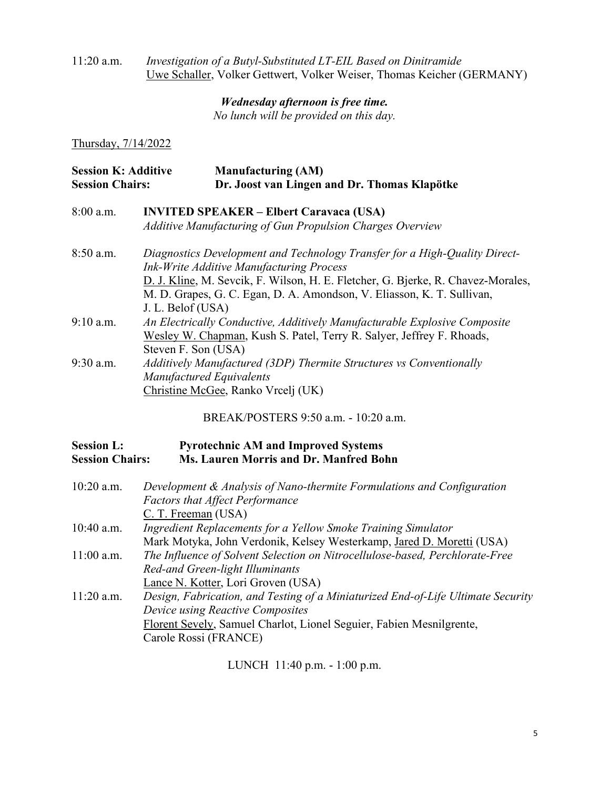#### 11:20 a.m. Investigation of a Butyl-Substituted LT-EIL Based on Dinitramide Uwe Schaller, Volker Gettwert, Volker Weiser, Thomas Keicher (GERMANY)

### Wednesday afternoon is free time.

No lunch will be provided on this day.

Thursday, 7/14/2022

| <b>Session K: Additive</b> | <b>Manufacturing (AM)</b>                    |
|----------------------------|----------------------------------------------|
| <b>Session Chairs:</b>     | Dr. Joost van Lingen and Dr. Thomas Klapötke |

| 8:00 a.m.<br><b>INVITED SPEAKER – Elbert Caravaca (USA)</b> |                                                           |
|-------------------------------------------------------------|-----------------------------------------------------------|
|                                                             | Additive Manufacturing of Gun Propulsion Charges Overview |

| $8:50$ a.m. | Diagnostics Development and Technology Transfer for a High-Quality Direct-       |
|-------------|----------------------------------------------------------------------------------|
|             | <b>Ink-Write Additive Manufacturing Process</b>                                  |
|             | D. J. Kline, M. Sevcik, F. Wilson, H. E. Fletcher, G. Bjerke, R. Chavez-Morales, |
|             | M. D. Grapes, G. C. Egan, D. A. Amondson, V. Eliasson, K. T. Sullivan,           |
|             | J. L. Belof (USA)                                                                |
| $9:10$ a.m. | An Electrically Conductive, Additively Manufacturable Explosive Composite        |
|             | Wesley W. Chapman, Kush S. Patel, Terry R. Salyer, Jeffrey F. Rhoads,            |
|             | Steven F. Son (USA)                                                              |
| $9:30$ a.m. | Additively Manufactured (3DP) Thermite Structures vs Conventionally              |
|             | <b>Manufactured Equivalents</b>                                                  |
|             | Christine McGee, Ranko Vrcelj (UK)                                               |

BREAK/POSTERS 9:50 a.m. - 10:20 a.m.

#### Session L: Pyrotechnic AM and Improved Systems Session Chairs: Ms. Lauren Morris and Dr. Manfred Bohn

| $10:20$ a.m. | Development & Analysis of Nano-thermite Formulations and Configuration           |
|--------------|----------------------------------------------------------------------------------|
|              | <b>Factors that Affect Performance</b>                                           |
|              | C. T. Freeman (USA)                                                              |
| $10:40$ a.m. | Ingredient Replacements for a Yellow Smoke Training Simulator                    |
|              | Mark Motyka, John Verdonik, Kelsey Westerkamp, Jared D. Moretti (USA)            |
| $11:00$ a.m. | The Influence of Solvent Selection on Nitrocellulose-based, Perchlorate-Free     |
|              | Red-and Green-light Illuminants                                                  |
|              | Lance N. Kotter, Lori Groven (USA)                                               |
| $11:20$ a.m. | Design, Fabrication, and Testing of a Miniaturized End-of-Life Ultimate Security |
|              | Device using Reactive Composites                                                 |
|              | Florent Sevely, Samuel Charlot, Lionel Seguier, Fabien Mesnilgrente,             |
|              | Carole Rossi (FRANCE)                                                            |

LUNCH 11:40 p.m. - 1:00 p.m.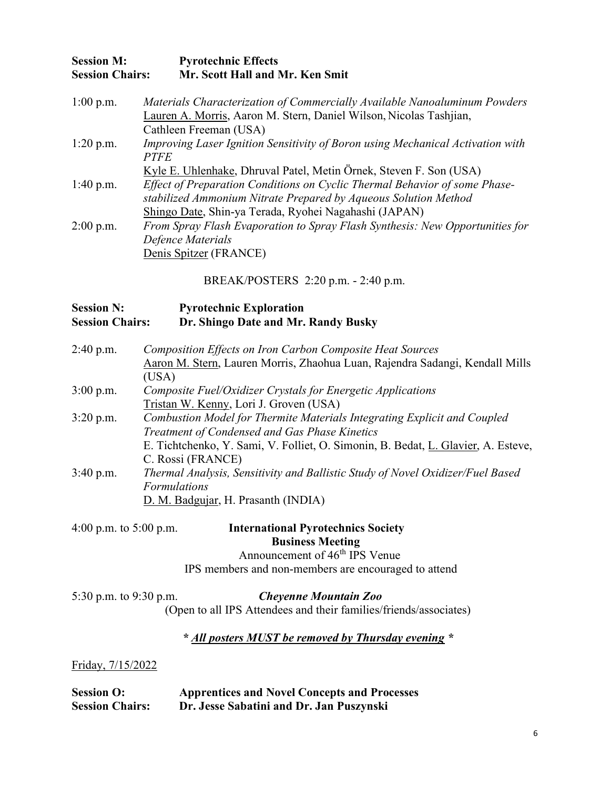| <b>Session M:</b> |                        | <b>Pyrotechnic Effects</b>      |
|-------------------|------------------------|---------------------------------|
|                   | <b>Session Chairs:</b> | Mr. Scott Hall and Mr. Ken Smit |

| $1:00$ p.m. | Materials Characterization of Commercially Available Nanoaluminum Powders      |
|-------------|--------------------------------------------------------------------------------|
|             | Lauren A. Morris, Aaron M. Stern, Daniel Wilson, Nicolas Tashjian,             |
|             | Cathleen Freeman (USA)                                                         |
| $1:20$ p.m. | Improving Laser Ignition Sensitivity of Boron using Mechanical Activation with |
|             | <b>PTFE</b>                                                                    |
|             | Kyle E. Uhlenhake, Dhruval Patel, Metin Örnek, Steven F. Son (USA)             |
| $1:40$ p.m. | Effect of Preparation Conditions on Cyclic Thermal Behavior of some Phase-     |
|             | stabilized Ammonium Nitrate Prepared by Aqueous Solution Method                |
|             | Shingo Date, Shin-ya Terada, Ryohei Nagahashi (JAPAN)                          |
| $2:00$ p.m. | From Spray Flash Evaporation to Spray Flash Synthesis: New Opportunities for   |
|             | Defence Materials                                                              |
|             | Denis Spitzer (FRANCE)                                                         |

BREAK/POSTERS 2:20 p.m. - 2:40 p.m.

#### Session N: Pyrotechnic Exploration Session Chairs: Dr. Shingo Date and Mr. Randy Busky

| $2:40$ p.m. | Composition Effects on Iron Carbon Composite Heat Sources                         |
|-------------|-----------------------------------------------------------------------------------|
|             | Aaron M. Stern, Lauren Morris, Zhaohua Luan, Rajendra Sadangi, Kendall Mills      |
|             | (USA)                                                                             |
| $3:00$ p.m. | Composite Fuel/Oxidizer Crystals for Energetic Applications                       |
|             | Tristan W. Kenny, Lori J. Groven (USA)                                            |
| $3:20$ p.m. | Combustion Model for Thermite Materials Integrating Explicit and Coupled          |
|             | Treatment of Condensed and Gas Phase Kinetics                                     |
|             | E. Tichtchenko, Y. Sami, V. Folliet, O. Simonin, B. Bedat, L. Glavier, A. Esteve, |
|             | C. Rossi (FRANCE)                                                                 |
| $3:40$ p.m. | Thermal Analysis, Sensitivity and Ballistic Study of Novel Oxidizer/Fuel Based    |
|             | <b>Formulations</b>                                                               |
|             | D. M. Badgujar, H. Prasanth (INDIA)                                               |
|             |                                                                                   |

4:00 p.m. to 5:00 p.m. International Pyrotechnics Society Business Meeting Announcement of  $46<sup>th</sup>$  IPS Venue IPS members and non-members are encouraged to attend

| 5:30 p.m. to 9:30 p.m. | <b>Cheyenne Mountain Zoo</b>                                      |  |
|------------------------|-------------------------------------------------------------------|--|
|                        | (Open to all IPS Attendees and their families/friends/associates) |  |

\* All posters MUST be removed by Thursday evening \*

Friday, 7/15/2022

| <b>Session O:</b>      | <b>Apprentices and Novel Concepts and Processes</b> |
|------------------------|-----------------------------------------------------|
| <b>Session Chairs:</b> | Dr. Jesse Sabatini and Dr. Jan Puszynski            |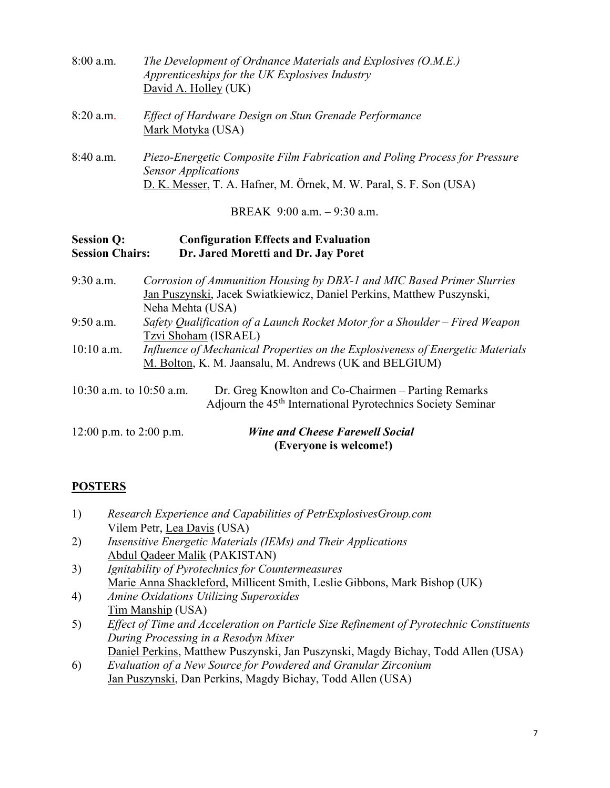| $8:00$ a.m. | The Development of Ordnance Materials and Explosives (O.M.E.)<br>Apprenticeships for the UK Explosives Industry<br>David A. Holley (UK)                                        |
|-------------|--------------------------------------------------------------------------------------------------------------------------------------------------------------------------------|
| $8:20$ a.m. | Effect of Hardware Design on Stun Grenade Performance<br>Mark Motyka (USA)                                                                                                     |
| $8:40$ a.m. | Piezo-Energetic Composite Film Fabrication and Poling Process for Pressure<br><b>Sensor Applications</b><br>D. K. Messer, T. A. Hafner, M. Örnek, M. W. Paral, S. F. Son (USA) |

BREAK 9:00 a.m. – 9:30 a.m.

### Session Q: Configuration Effects and Evaluation<br>
Session Chairs: Dr. Jared Moretti and Dr. Jav Poret Dr. Jared Moretti and Dr. Jay Poret

9:30 a.m. Corrosion of Ammunition Housing by DBX-1 and MIC Based Primer Slurries Jan Puszynski, Jacek Swiatkiewicz, Daniel Perkins, Matthew Puszynski, Neha Mehta (USA) 9:50 a.m. Safety Qualification of a Launch Rocket Motor for a Shoulder – Fired Weapon Tzvi Shoham (ISRAEL) 10:10 a.m. Influence of Mechanical Properties on the Explosiveness of Energetic Materials M. Bolton, K. M. Jaansalu, M. Andrews (UK and BELGIUM) 10:30 a.m. to 10:50 a.m. Dr. Greg Knowlton and Co-Chairmen – Parting Remarks Adjourn the 45<sup>th</sup> International Pyrotechnics Society Seminar

| 12:00 p.m. to 2:00 p.m. | <b>Wine and Cheese Farewell Social</b> |
|-------------------------|----------------------------------------|
|                         | (Everyone is welcome!)                 |

# **POSTERS**

| 1) | Research Experience and Capabilities of PetrExplosivesGroup.com                         |
|----|-----------------------------------------------------------------------------------------|
|    | Vilem Petr, Lea Davis (USA)                                                             |
| 2) | Insensitive Energetic Materials (IEMs) and Their Applications                           |
|    | Abdul Qadeer Malik (PAKISTAN)                                                           |
| 3) | Ignitability of Pyrotechnics for Countermeasures                                        |
|    | Marie Anna Shackleford, Millicent Smith, Leslie Gibbons, Mark Bishop (UK)               |
| 4) | <b>Amine Oxidations Utilizing Superoxides</b>                                           |
|    | Tim Manship (USA)                                                                       |
| 5) | Effect of Time and Acceleration on Particle Size Refinement of Pyrotechnic Constituents |
|    |                                                                                         |

- During Processing in a Resodyn Mixer Daniel Perkins, Matthew Puszynski, Jan Puszynski, Magdy Bichay, Todd Allen (USA)
- 6) Evaluation of a New Source for Powdered and Granular Zirconium Jan Puszynski, Dan Perkins, Magdy Bichay, Todd Allen (USA)